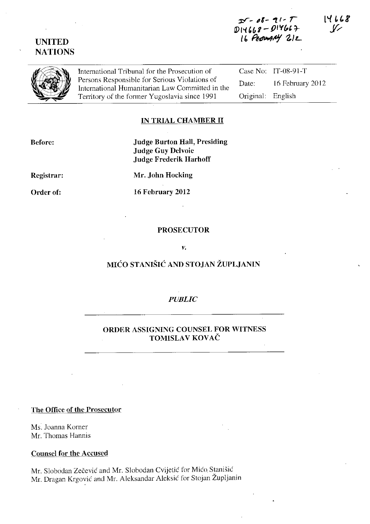# **UNITED NATIONS**



International Tribunal for the Prosecution of Persons Responsible for Serious Violations of International Humanitarian Law Committed in Territory of the former Yugoslavia since 1991  $\sum_{k=1}^{\infty}$  Persons Responsible for Serious Violations of International Humanitarian Law Committed in the Territory of the former Yugoslavia since 1991

Case No: IT-08-91-T Date: 16 February 2012 Original: English

### **IN TRIAL CHAMBER II**

| <b>Judge Burton Hall, Presiding</b> |
|-------------------------------------|
| <b>Judge Guy Delvoie</b>            |
| <b>Judge Frederik Harhoff</b>       |
|                                     |

**Registrar:** 

**Before:** 

**Order of:** 

**Mr, John Hocking** 

**16 February 2012** 

## **PROSECUTOR**

#### *V,*

# MIĆO STANIŠIĆ **AND STOJAN ŽUPLJANIN**

# *PUBLIC*

## **ORDER ASSIGNING COUNSEL FOR WITNESS**  TOMISLAV KOVAČ

#### **The Office of the Prosecutor**

Ms. Joanna Komer Mr. Thomas Hannis

#### **Counsel for the Accused**

Mr. Slobodan Zečević and Mr. Slobodan Cvijetić for Mićo. Stanišić Mr. Dragan Krgović and Mr. Aleksandar Aleksić for Stojan Župljanin 14668  $\mathcal V$